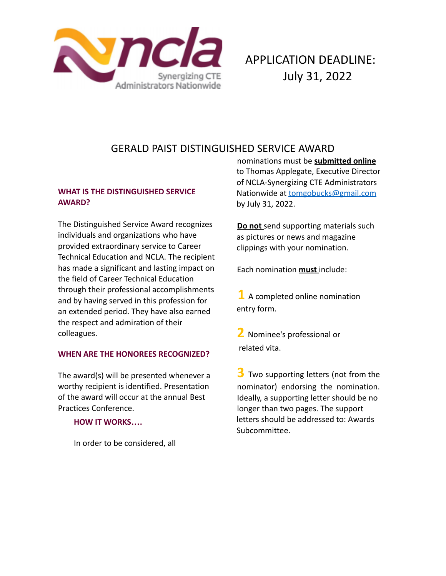

# GERALD PAIST DISTINGUISHED SERVICE AWARD

## **WHAT IS THE DISTINGUISHED SERVICE AWARD?**

The Distinguished Service Award recognizes individuals and organizations who have provided extraordinary service to Career Technical Education and NCLA. The recipient has made a significant and lasting impact on the field of Career Technical Education through their professional accomplishments and by having served in this profession for an extended period. They have also earned the respect and admiration of their colleagues.

### **WHEN ARE THE HONOREES RECOGNIZED?**

The award(s) will be presented whenever a worthy recipient is identified. Presentation of the award will occur at the annual Best Practices Conference.

#### **HOW IT WORKS….**

In order to be considered, all

nominations must be **submitted online** to Thomas Applegate, Executive Director of NCLA-Synergizing CTE Administrators Nationwide at tomgobucks@gmail.com by July 31, 2022.

**Do not** send supporting materials such as pictures or news and magazine clippings with your nomination.

Each nomination **must** include:

**1** A completed online nomination entry form.

**2** Nominee's professional or related vita.

**3** Two supporting letters (not from the nominator) endorsing the nomination. Ideally, a supporting letter should be no longer than two pages. The support letters should be addressed to: Awards Subcommittee.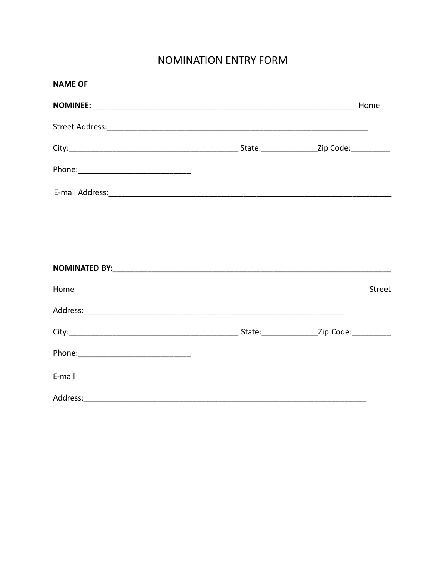## **NOMINATION ENTRY FORM**

| <b>NAME OF</b>                                                                                                                                                                                                                 |               |
|--------------------------------------------------------------------------------------------------------------------------------------------------------------------------------------------------------------------------------|---------------|
|                                                                                                                                                                                                                                |               |
|                                                                                                                                                                                                                                |               |
|                                                                                                                                                                                                                                |               |
|                                                                                                                                                                                                                                |               |
|                                                                                                                                                                                                                                |               |
|                                                                                                                                                                                                                                |               |
|                                                                                                                                                                                                                                |               |
|                                                                                                                                                                                                                                |               |
| Home                                                                                                                                                                                                                           | <b>Street</b> |
| Address: Address: Address: Address: Address: Address: Address: Address: Address: Address: Address: Address: Address: Address: Address: Address: Address: Address: Address: Address: Address: Address: Address: Address: Addres |               |
|                                                                                                                                                                                                                                |               |
|                                                                                                                                                                                                                                |               |
| E-mail                                                                                                                                                                                                                         |               |
|                                                                                                                                                                                                                                |               |